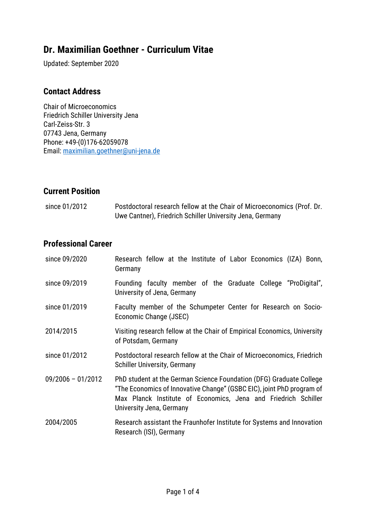# **Dr. Maximilian Goethner - Curriculum Vitae**

Updated: September 2020

### **Contact Address**

Chair of Microeconomics Friedrich Schiller University Jena Carl-Zeiss-Str. 3 07743 Jena, Germany Phone: +49-(0)176-62059078 Email: [maximilian.goethner@uni-jena.de](mailto:maximilian.goethner@uni-jena.de)

### **Current Position**

| since 01/2012 | Postdoctoral research fellow at the Chair of Microeconomics (Prof. Dr. |
|---------------|------------------------------------------------------------------------|
|               | Uwe Cantner), Friedrich Schiller University Jena, Germany              |

# **Professional Career**

| since 09/2020       | Research fellow at the Institute of Labor Economics (IZA) Bonn,<br>Germany                                                                                                                                                                 |
|---------------------|--------------------------------------------------------------------------------------------------------------------------------------------------------------------------------------------------------------------------------------------|
| since 09/2019       | Founding faculty member of the Graduate College "ProDigital",<br>University of Jena, Germany                                                                                                                                               |
| since 01/2019       | Faculty member of the Schumpeter Center for Research on Socio-<br>Economic Change (JSEC)                                                                                                                                                   |
| 2014/2015           | Visiting research fellow at the Chair of Empirical Economics, University<br>of Potsdam, Germany                                                                                                                                            |
| since 01/2012       | Postdoctoral research fellow at the Chair of Microeconomics, Friedrich<br><b>Schiller University, Germany</b>                                                                                                                              |
| $09/2006 - 01/2012$ | PhD student at the German Science Foundation (DFG) Graduate College<br>"The Economics of Innovative Change" (GSBC EIC), joint PhD program of<br>Max Planck Institute of Economics, Jena and Friedrich Schiller<br>University Jena, Germany |
| 2004/2005           | Research assistant the Fraunhofer Institute for Systems and Innovation<br>Research (ISI), Germany                                                                                                                                          |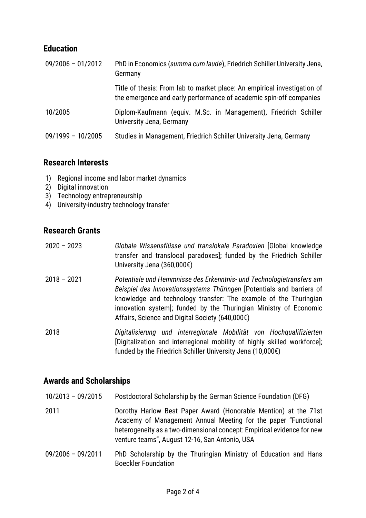# **Education**

| $09/2006 - 01/2012$ | PhD in Economics (summa cum laude), Friedrich Schiller University Jena,<br>Germany                                                             |
|---------------------|------------------------------------------------------------------------------------------------------------------------------------------------|
|                     | Title of thesis: From lab to market place: An empirical investigation of<br>the emergence and early performance of academic spin-off companies |
| 10/2005             | Diplom-Kaufmann (equiv. M.Sc. in Management), Friedrich Schiller<br>University Jena, Germany                                                   |
| $09/1999 - 10/2005$ | Studies in Management, Friedrich Schiller University Jena, Germany                                                                             |

### **Research Interests**

- 1) Regional income and labor market dynamics
- 2) Digital innovation
- 3) Technology entrepreneurship
- 4) University-industry technology transfer

# **Research Grants**

- 2020 2023 *Globale Wissensflüsse und translokale Paradoxien* [Global knowledge transfer and translocal paradoxes]; funded by the Friedrich Schiller University Jena (360,000€)
- 2018 2021 *Potentiale und Hemmnisse des Erkenntnis- und Technologietransfers am Beispiel des Innovationssystems Thüringen* [Potentials and barriers of knowledge and technology transfer: The example of the Thuringian innovation system]; funded by the Thuringian Ministry of Economic Affairs, Science and Digital Society (640,000€)

2018 *Digitalisierung und interregionale Mobilität von Hochqualifizierten* [Digitalization and interregional mobility of highly skilled workforce]; funded by the Friedrich Schiller University Jena (10,000€)

# **Awards and Scholarships**

- 10/2013 09/2015 Postdoctoral Scholarship by the German Science Foundation (DFG)
- 2011 Dorothy Harlow Best Paper Award (Honorable Mention) at the 71st Academy of Management Annual Meeting for the paper "Functional heterogeneity as a two-dimensional concept: Empirical evidence for new venture teams", August 12-16, San Antonio, USA
- 09/2006 09/2011 PhD Scholarship by the Thuringian Ministry of Education and Hans Boeckler Foundation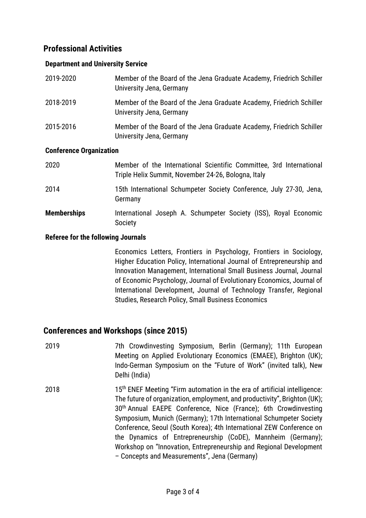# **Professional Activities**

#### **Department and University Service**

| 2019-2020                      | Member of the Board of the Jena Graduate Academy, Friedrich Schiller<br>University Jena, Germany |  |
|--------------------------------|--------------------------------------------------------------------------------------------------|--|
| 2018-2019                      | Member of the Board of the Jena Graduate Academy, Friedrich Schiller<br>University Jena, Germany |  |
| 2015-2016                      | Member of the Board of the Jena Graduate Academy, Friedrich Schiller<br>University Jena, Germany |  |
| <b>Conference Organization</b> |                                                                                                  |  |

| 2020               | Member of the International Scientific Committee, 3rd International<br>Triple Helix Summit, November 24-26, Bologna, Italy |
|--------------------|----------------------------------------------------------------------------------------------------------------------------|
| 2014               | 15th International Schumpeter Society Conference, July 27-30, Jena,<br>Germany                                             |
| <b>Memberships</b> | International Joseph A. Schumpeter Society (ISS), Royal Economic<br>Society                                                |

#### **Referee for the following Journals**

Economics Letters, Frontiers in Psychology, Frontiers in Sociology, Higher Education Policy, International Journal of Entrepreneurship and Innovation Management, International Small Business Journal, Journal of Economic Psychology, Journal of Evolutionary Economics, Journal of International Development, Journal of Technology Transfer, Regional Studies, Research Policy, Small Business Economics

### **Conferences and Workshops (since 2015)**

2019 7th Crowdinvesting Symposium, Berlin (Germany); 11th European Meeting on Applied Evolutionary Economics (EMAEE), Brighton (UK); Indo-German Symposium on the "Future of Work" (invited talk), New Delhi (India) 2018 15<sup>th</sup> ENEF Meeting "Firm automation in the era of artificial intelligence: The future of organization, employment, and productivity", Brighton (UK); 30th Annual EAEPE Conference, Nice (France); 6th Crowdinvesting Symposium, Munich (Germany); 17th International Schumpeter Society Conference, Seoul (South Korea); 4th International ZEW Conference on the Dynamics of Entrepreneurship (CoDE), Mannheim (Germany); Workshop on "Innovation, Entrepreneurship and Regional Development – Concepts and Measurements", Jena (Germany)